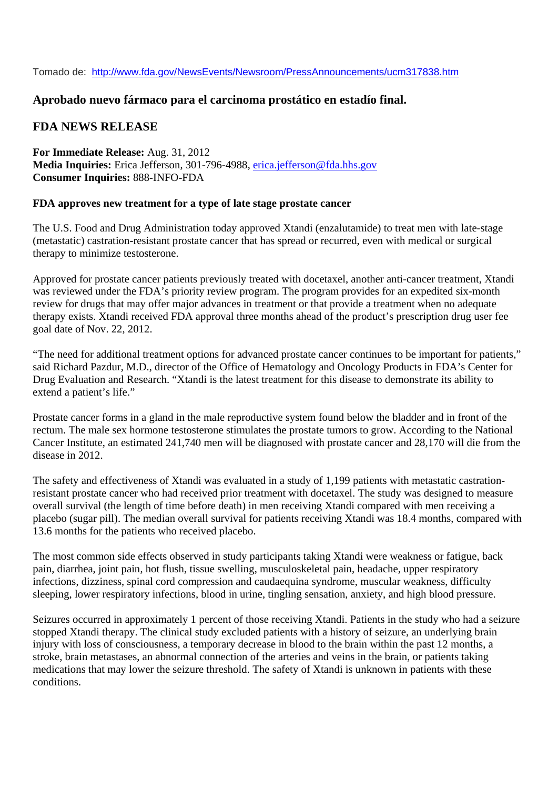Tomado de: http://www.fda.gov/NewsEvents/Newsroom/PressAnnouncements/ucm317838.htm

## **Aprobado nuevo fármaco para el carcinoma prostático en estadío final.**

## **FDA NEWS RELEASE**

**For Immediate Release:** Aug. 31, 2012 **Media Inquiries:** Erica Jefferson, 301-796-4988, erica.jefferson@fda.hhs.gov **Consumer Inquiries:** 888-INFO-FDA

## **FDA approves new treatment for a type of late stage prostate cancer**

The U.S. Food and Drug Administration today approved Xtandi (enzalutamide) to treat men with late-stage (metastatic) castration-resistant prostate cancer that has spread or recurred, even with medical or surgical therapy to minimize testosterone.

Approved for prostate cancer patients previously treated with docetaxel, another anti-cancer treatment, Xtandi was reviewed under the FDA's priority review program. The program provides for an expedited six-month review for drugs that may offer major advances in treatment or that provide a treatment when no adequate therapy exists. Xtandi received FDA approval three months ahead of the product's prescription drug user fee goal date of Nov. 22, 2012.

"The need for additional treatment options for advanced prostate cancer continues to be important for patients," said Richard Pazdur, M.D., director of the Office of Hematology and Oncology Products in FDA's Center for Drug Evaluation and Research. "Xtandi is the latest treatment for this disease to demonstrate its ability to extend a patient's life."

Prostate cancer forms in a gland in the male reproductive system found below the bladder and in front of the rectum. The male sex hormone testosterone stimulates the prostate tumors to grow. According to the National Cancer Institute, an estimated 241,740 men will be diagnosed with prostate cancer and 28,170 will die from the disease in 2012.

The safety and effectiveness of Xtandi was evaluated in a study of 1,199 patients with metastatic castrationresistant prostate cancer who had received prior treatment with docetaxel. The study was designed to measure overall survival (the length of time before death) in men receiving Xtandi compared with men receiving a placebo (sugar pill). The median overall survival for patients receiving Xtandi was 18.4 months, compared with 13.6 months for the patients who received placebo.

The most common side effects observed in study participants taking Xtandi were weakness or fatigue, back pain, diarrhea, joint pain, hot flush, tissue swelling, musculoskeletal pain, headache, upper respiratory infections, dizziness, spinal cord compression and caudaequina syndrome, muscular weakness, difficulty sleeping, lower respiratory infections, blood in urine, tingling sensation, anxiety, and high blood pressure.

Seizures occurred in approximately 1 percent of those receiving Xtandi. Patients in the study who had a seizure stopped Xtandi therapy. The clinical study excluded patients with a history of seizure, an underlying brain injury with loss of consciousness, a temporary decrease in blood to the brain within the past 12 months, a stroke, brain metastases, an abnormal connection of the arteries and veins in the brain, or patients taking medications that may lower the seizure threshold. The safety of Xtandi is unknown in patients with these conditions.